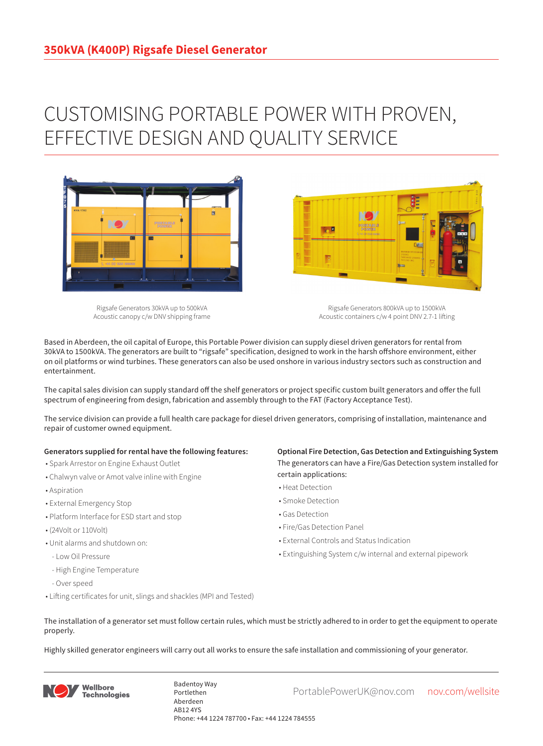## CUSTOMISING PORTABLE POWER WITH PROVEN, EFFECTIVE DESIGN AND QUALITY SERVICE



Rigsafe Generators 30kVA up to 500kVA Acoustic canopy c/w DNV shipping frame

Rigsafe Generators 800kVA up to 1500kVA Acoustic containers c/w 4 point DNV 2.7-1 lifting

Based in Aberdeen, the oil capital of Europe, this Portable Power division can supply diesel driven generators for rental from 30kVA to 1500kVA. The generators are built to "rigsafe" specification, designed to work in the harsh offshore environment, either on oil platforms or wind turbines. These generators can also be used onshore in various industry sectors such as construction and entertainment.

The capital sales division can supply standard off the shelf generators or project specific custom built generators and offer the full spectrum of engineering from design, fabrication and assembly through to the FAT (Factory Acceptance Test).

The service division can provide a full health care package for diesel driven generators, comprising of installation, maintenance and repair of customer owned equipment.

## **Generators supplied for rental have the following features:**

- Spark Arrestor on Engine Exhaust Outlet
- Chalwyn valve or Amot valve inline with Engine
- Aspiration
- External Emergency Stop
- Platform Interface for ESD start and stop
- (24Volt or 110Volt)
- Unit alarms and shutdown on:
- Low Oil Pressure
- High Engine Temperature
- Over speed
- Lifting certificates for unit, slings and shackles (MPI and Tested)

**Optional Fire Detection, Gas Detection and Extinguishing System** The generators can have a Fire/Gas Detection system installed for certain applications:

- Heat Detection
- Smoke Detection
- Gas Detection
- Fire/Gas Detection Panel

**Designation** 

- External Controls and Status Indication
- Extinguishing System c/w internal and external pipework
- The installation of a generator set must follow certain rules, which must be strictly adhered to in order to get the equipment to operate properly.

Highly skilled generator engineers will carry out all works to ensure the safe installation and commissioning of your generator.



Badentoy Way<br>PortablePowerUK@nov.com nov.com/wellsite Portlethen Aberdeen AB12 4YS Phone: +44 1224 787700 • Fax: +44 1224 784555